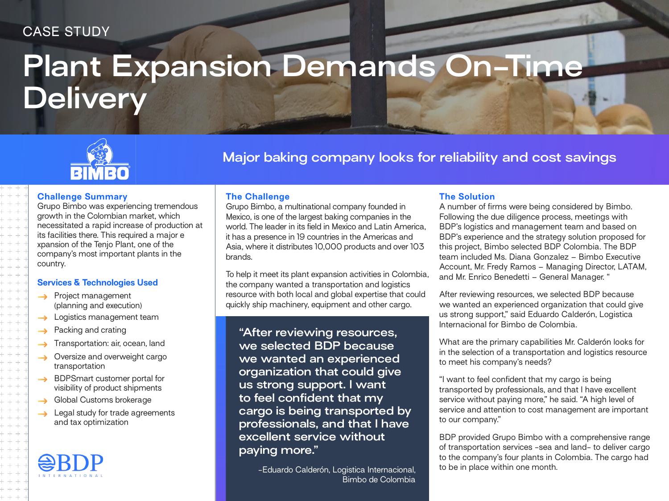# CASE STUDY

# **Plant Expansion Demands On-Time Delivery**



# **Major baking company looks for reliability and cost savings**

### **Challenge Summary**

Grupo Bimbo was experiencing tremendous growth in the Colombian market, which necessitated a rapid increase of production at its facilities there. This required a major e xpansion of the Tenjo Plant, one of the company's most important plants in the country.

### **Services & Technologies Used**

- $\rightarrow$  Project management (planning and execution)
- $\rightarrow$  Logistics management team
- Packing and crating  $\rightarrow$
- Transportation: air, ocean, land
- Oversize and overweight cargo  $\rightarrow$ transportation
- → BDPSmart customer portal for visibility of product shipments
- Global Customs brokerage  $\rightarrow$
- $\rightarrow$  Legal study for trade agreements and tax optimization

# **The Challenge**

Grupo Bimbo, a multinational company founded in Mexico, is one of the largest baking companies in the world. The leader in its field in Mexico and Latin America, it has a presence in 19 countries in the Americas and Asia, where it distributes 10,000 products and over 103 brands.

To help it meet its plant expansion activities in Colombia, the company wanted a transportation and logistics resource with both local and global expertise that could quickly ship machinery, equipment and other cargo.

**"After reviewing resources, we selected BDP because we wanted an experienced organization that could give us strong support. I want to feel confident that my cargo is being transported by professionals, and that I have excellent service without paying more."**

> -Eduardo Calderón, Logistica Internacional, Bimbo de Colombia

# **The Solution**

A number of firms were being considered by Bimbo. Following the due diligence process, meetings with BDP's logistics and management team and based on BDP's experience and the strategy solution proposed for this project, Bimbo selected BDP Colombia. The BDP team included Ms. Diana Gonzalez – Bimbo Executive Account, Mr. Fredy Ramos – Managing Director, LATAM, and Mr. Enrico Benedetti – General Manager. "

After reviewing resources, we selected BDP because we wanted an experienced organization that could give us strong support," said Eduardo Calderón, Logistica Internacional for Bimbo de Colombia.

What are the primary capabilities Mr. Calderón looks for in the selection of a transportation and logistics resource to meet his company's needs?

"I want to feel confident that my cargo is being transported by professionals, and that I have excellent service without paying more," he said. "A high level of service and attention to cost management are important to our company."

BDP provided Grupo Bimbo with a comprehensive range of transportation services -sea and land- to deliver cargo to the company's four plants in Colombia. The cargo had to be in place within one month.